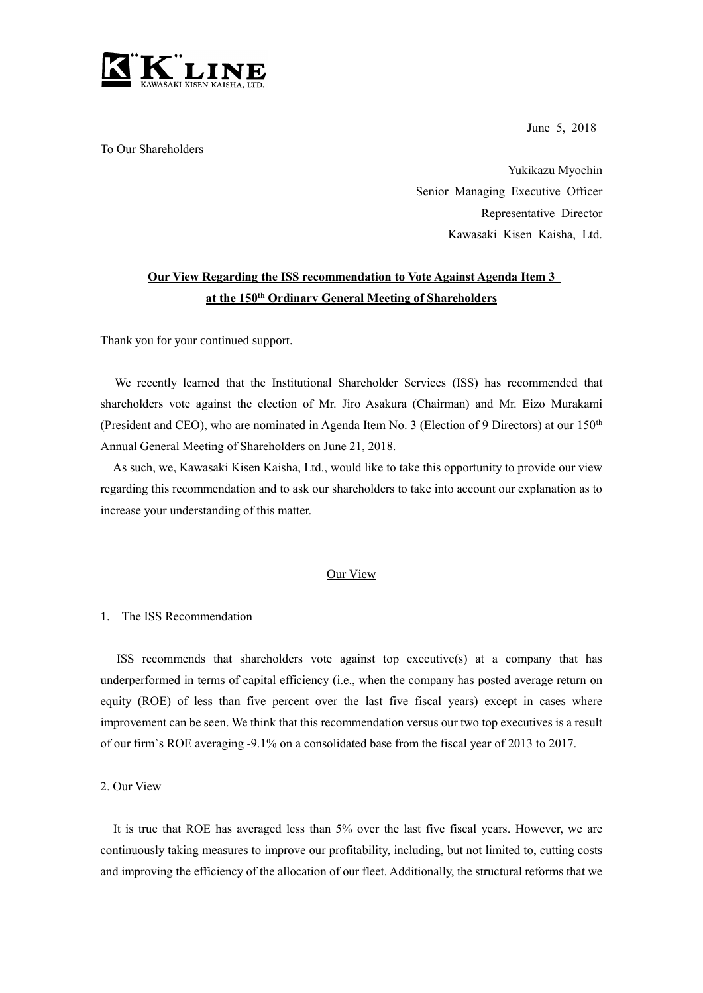

To Our Shareholders

June 5, 2018

Yukikazu Myochin Senior Managing Executive Officer Representative Director Kawasaki Kisen Kaisha, Ltd.

# **Our View Regarding the ISS recommendation to Vote Against Agenda Item 3 at the 150th Ordinary General Meeting of Shareholders**

Thank you for your continued support.

We recently learned that the Institutional Shareholder Services (ISS) has recommended that shareholders vote against the election of Mr. Jiro Asakura (Chairman) and Mr. Eizo Murakami (President and CEO), who are nominated in Agenda Item No. 3 (Election of 9 Directors) at our 150<sup>th</sup> Annual General Meeting of Shareholders on June 21, 2018.

As such, we, Kawasaki Kisen Kaisha, Ltd., would like to take this opportunity to provide our view regarding this recommendation and to ask our shareholders to take into account our explanation as to increase your understanding of this matter.

## Our View

## 1. The ISS Recommendation

ISS recommends that shareholders vote against top executive(s) at a company that has underperformed in terms of capital efficiency (i.e., when the company has posted average return on equity (ROE) of less than five percent over the last five fiscal years) except in cases where improvement can be seen. We think that this recommendation versus our two top executives is a result of our firm`s ROE averaging -9.1% on a consolidated base from the fiscal year of 2013 to 2017.

2. Our View

It is true that ROE has averaged less than 5% over the last five fiscal years. However, we are continuously taking measures to improve our profitability, including, but not limited to, cutting costs and improving the efficiency of the allocation of our fleet. Additionally, the structural reforms that we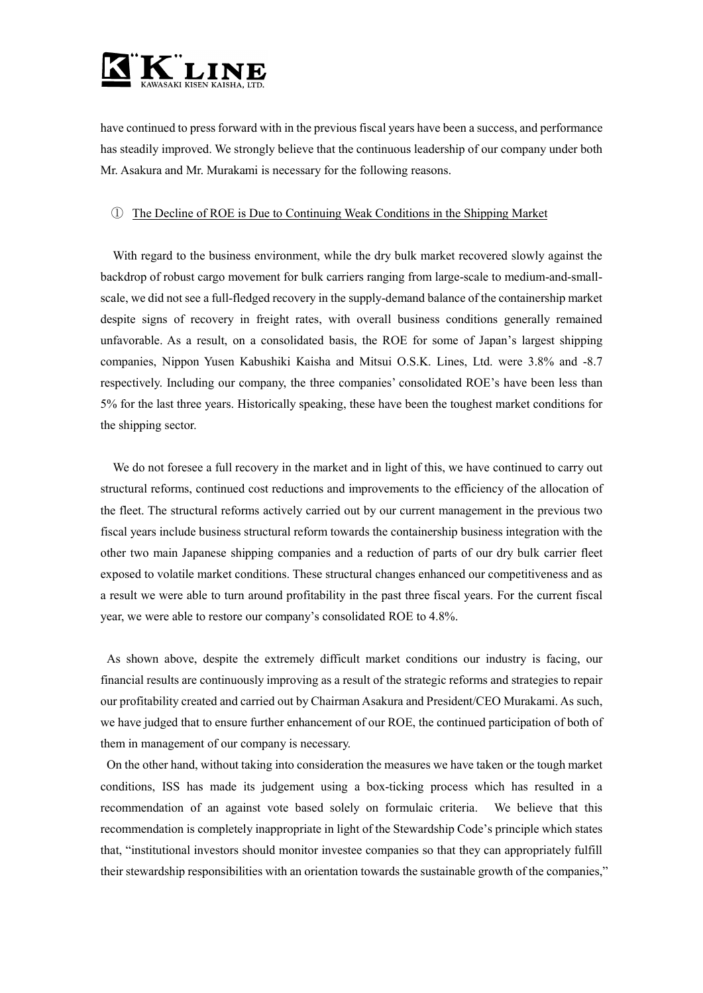

have continued to press forward with in the previous fiscal years have been a success, and performance has steadily improved. We strongly believe that the continuous leadership of our company under both Mr. Asakura and Mr. Murakami is necessary for the following reasons.

### ① The Decline of ROE is Due to Continuing Weak Conditions in the Shipping Market

With regard to the business environment, while the dry bulk market recovered slowly against the backdrop of robust cargo movement for bulk carriers ranging from large-scale to medium-and-smallscale, we did not see a full-fledged recovery in the supply-demand balance of the containership market despite signs of recovery in freight rates, with overall business conditions generally remained unfavorable. As a result, on a consolidated basis, the ROE for some of Japan's largest shipping companies, Nippon Yusen Kabushiki Kaisha and Mitsui O.S.K. Lines, Ltd. were 3.8% and -8.7 respectively. Including our company, the three companies' consolidated ROE's have been less than 5% for the last three years. Historically speaking, these have been the toughest market conditions for the shipping sector.

We do not foresee a full recovery in the market and in light of this, we have continued to carry out structural reforms, continued cost reductions and improvements to the efficiency of the allocation of the fleet. The structural reforms actively carried out by our current management in the previous two fiscal years include business structural reform towards the containership business integration with the other two main Japanese shipping companies and a reduction of parts of our dry bulk carrier fleet exposed to volatile market conditions. These structural changes enhanced our competitiveness and as a result we were able to turn around profitability in the past three fiscal years. For the current fiscal year, we were able to restore our company's consolidated ROE to 4.8%.

As shown above, despite the extremely difficult market conditions our industry is facing, our financial results are continuously improving as a result of the strategic reforms and strategies to repair our profitability created and carried out by Chairman Asakura and President/CEO Murakami. As such, we have judged that to ensure further enhancement of our ROE, the continued participation of both of them in management of our company is necessary.

On the other hand, without taking into consideration the measures we have taken or the tough market conditions, ISS has made its judgement using a box-ticking process which has resulted in a recommendation of an against vote based solely on formulaic criteria. We believe that this recommendation is completely inappropriate in light of the Stewardship Code's principle which states that, "institutional investors should monitor investee companies so that they can appropriately fulfill their stewardship responsibilities with an orientation towards the sustainable growth of the companies,"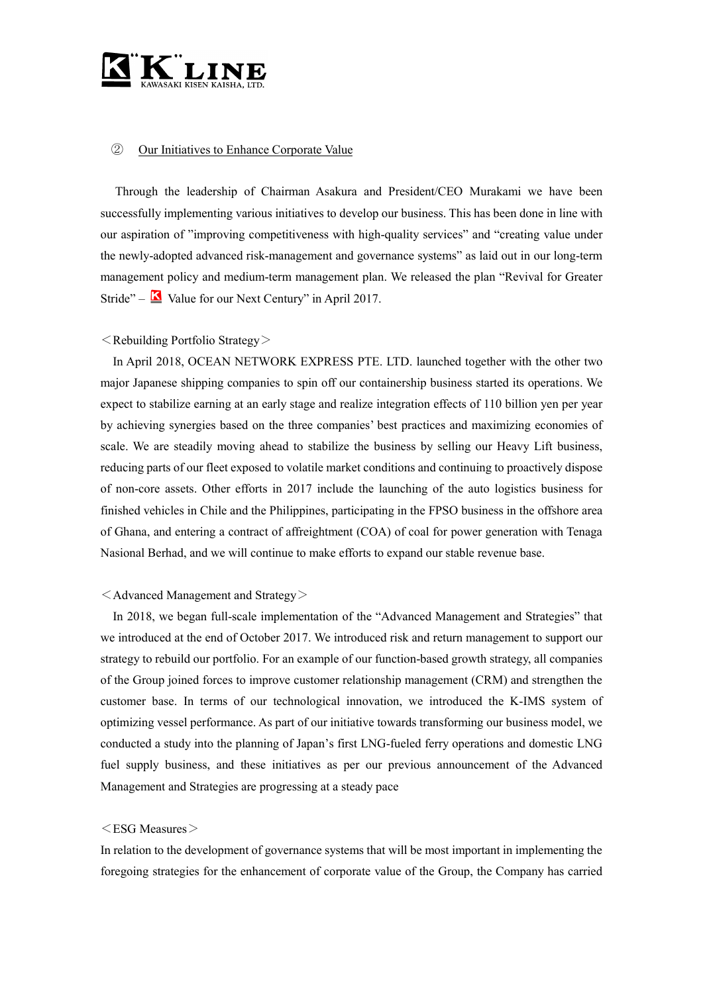

## ② Our Initiatives to Enhance Corporate Value

Through the leadership of Chairman Asakura and President/CEO Murakami we have been successfully implementing various initiatives to develop our business. This has been done in line with our aspiration of "improving competitiveness with high-quality services" and "creating value under the newly-adopted advanced risk-management and governance systems" as laid out in our long-term management policy and medium-term management plan. We released the plan "Revival for Greater Stride" –  $\blacksquare$  Value for our Next Century" in April 2017.

#### $\leq$  Rebuilding Portfolio Strategy $>$

In April 2018, OCEAN NETWORK EXPRESS PTE. LTD. launched together with the other two major Japanese shipping companies to spin off our containership business started its operations. We expect to stabilize earning at an early stage and realize integration effects of 110 billion yen per year by achieving synergies based on the three companies' best practices and maximizing economies of scale. We are steadily moving ahead to stabilize the business by selling our Heavy Lift business, reducing parts of our fleet exposed to volatile market conditions and continuing to proactively dispose of non-core assets. Other efforts in 2017 include the launching of the auto logistics business for finished vehicles in Chile and the Philippines, participating in the FPSO business in the offshore area of Ghana, and entering a contract of affreightment (COA) of coal for power generation with Tenaga Nasional Berhad, and we will continue to make efforts to expand our stable revenue base.

#### $\leq$  Advanced Management and Strategy $>$

In 2018, we began full-scale implementation of the "Advanced Management and Strategies" that we introduced at the end of October 2017. We introduced risk and return management to support our strategy to rebuild our portfolio. For an example of our function-based growth strategy, all companies of the Group joined forces to improve customer relationship management (CRM) and strengthen the customer base. In terms of our technological innovation, we introduced the K-IMS system of optimizing vessel performance. As part of our initiative towards transforming our business model, we conducted a study into the planning of Japan's first LNG-fueled ferry operations and domestic LNG fuel supply business, and these initiatives as per our previous announcement of the Advanced Management and Strategies are progressing at a steady pace

#### $\leq$ ESG Measures $>$

In relation to the development of governance systems that will be most important in implementing the foregoing strategies for the enhancement of corporate value of the Group, the Company has carried